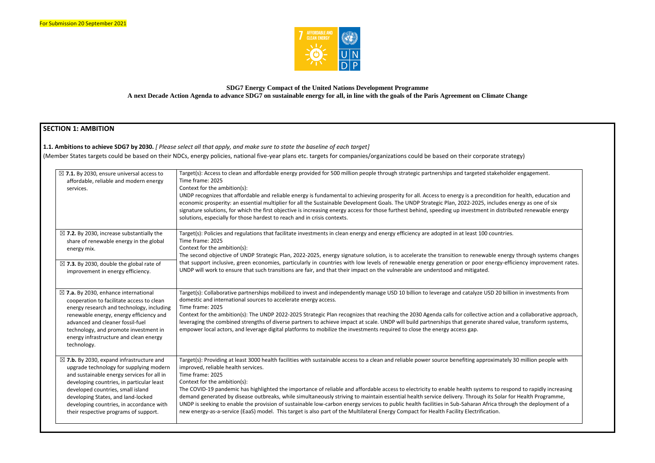

## **SDG7 Energy Compact of the United Nations Development Programme A next Decade Action Agenda to advance SDG7 on sustainable energy for all, in line with the goals of the Paris Agreement on Climate Change**

# **SECTION 1: AMBITION**

| $\boxtimes$ 7.1. By 2030, ensure universal access to<br>affordable, reliable and modern energy<br>services.                                                                                                                                                                                                                                               | Target(s): Access to clean and affordable energy provided for 500 million people through strategic partnerships and targeted stakeholder engagement.<br>Time frame: 2025<br>Context for the ambition(s):<br>UNDP recognizes that affordable and reliable energy is fundamental to achieving prosperity for all. Access to energy is a precondition for health, education and<br>economic prosperity: an essential multiplier for all the Sustainable Development Goals. The UNDP Strategic Plan, 2022-2025, includes energy as one of six<br>signature solutions, for which the first objective is increasing energy access for those furthest behind, speeding up investment in distributed renewable energy<br>solutions, especially for those hardest to reach and in crisis contexts.                                                                                                                   |
|-----------------------------------------------------------------------------------------------------------------------------------------------------------------------------------------------------------------------------------------------------------------------------------------------------------------------------------------------------------|-------------------------------------------------------------------------------------------------------------------------------------------------------------------------------------------------------------------------------------------------------------------------------------------------------------------------------------------------------------------------------------------------------------------------------------------------------------------------------------------------------------------------------------------------------------------------------------------------------------------------------------------------------------------------------------------------------------------------------------------------------------------------------------------------------------------------------------------------------------------------------------------------------------|
| $\boxtimes$ 7.2. By 2030, increase substantially the<br>share of renewable energy in the global<br>energy mix.                                                                                                                                                                                                                                            | Target(s): Policies and regulations that facilitate investments in clean energy and energy efficiency are adopted in at least 100 countries.<br>Time frame: 2025<br>Context for the ambition(s):<br>The second objective of UNDP Strategic Plan, 2022-2025, energy signature solution, is to accelerate the transition to renewable energy through systems changes                                                                                                                                                                                                                                                                                                                                                                                                                                                                                                                                          |
| $\boxtimes$ 7.3. By 2030, double the global rate of<br>improvement in energy efficiency.                                                                                                                                                                                                                                                                  | that support inclusive, green economies, particularly in countries with low levels of renewable energy generation or poor energy-efficiency improvement rates.<br>UNDP will work to ensure that such transitions are fair, and that their impact on the vulnerable are understood and mitigated.                                                                                                                                                                                                                                                                                                                                                                                                                                                                                                                                                                                                            |
| $\boxtimes$ 7.a. By 2030, enhance international<br>cooperation to facilitate access to clean<br>energy research and technology, including<br>renewable energy, energy efficiency and<br>advanced and cleaner fossil-fuel<br>technology, and promote investment in<br>energy infrastructure and clean energy<br>technology.                                | Target(s): Collaborative partnerships mobilized to invest and independently manage USD 10 billion to leverage and catalyze USD 20 billion in investments from<br>domestic and international sources to accelerate energy access.<br>Time frame: 2025<br>Context for the ambition(s): The UNDP 2022-2025 Strategic Plan recognizes that reaching the 2030 Agenda calls for collective action and a collaborative approach,<br>leveraging the combined strengths of diverse partners to achieve impact at scale. UNDP will build partnerships that generate shared value, transform systems,<br>empower local actors, and leverage digital platforms to mobilize the investments required to close the energy access gap.                                                                                                                                                                                     |
| $\boxtimes$ 7.b. By 2030, expand infrastructure and<br>upgrade technology for supplying modern<br>and sustainable energy services for all in<br>developing countries, in particular least<br>developed countries, small island<br>developing States, and land-locked<br>developing countries, in accordance with<br>their respective programs of support. | Target(s): Providing at least 3000 health facilities with sustainable access to a clean and reliable power source benefiting approximately 30 million people with<br>improved, reliable health services.<br>Time frame: 2025<br>Context for the ambition(s):<br>The COVID-19 pandemic has highlighted the importance of reliable and affordable access to electricity to enable health systems to respond to rapidly increasing<br>demand generated by disease outbreaks, while simultaneously striving to maintain essential health service delivery. Through its Solar for Health Programme,<br>UNDP is seeking to enable the provision of sustainable low-carbon energy services to public health facilities in Sub-Saharan Africa through the deployment of a<br>new energy-as-a-service (EaaS) model. This target is also part of the Multilateral Energy Compact for Health Facility Electrification. |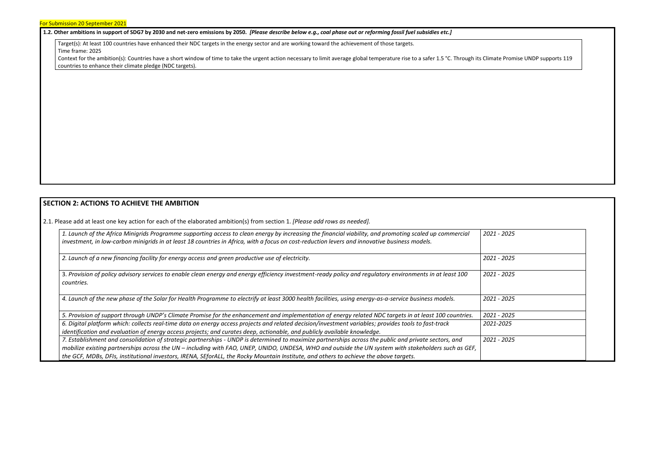#### **1.2. Other ambitions in support of SDG7 by 2030 and net-zero emissions by 2050.** *[Please describe below e.g., coal phase out or reforming fossil fuel subsidies etc.]*

Target(s): At least 100 countries have enhanced their NDC targets in the energy sector and are working toward the achievement of those targets. Time frame: 2025

Context for the ambition(s): Countries have a short window of time to take the urgent action necessary to limit average global temperature rise to a safer 1.5 °C. Through its Climate Promise UNDP supports 119 countries to enhance their climate pledge (NDC targets).

### **SECTION 2: ACTIONS TO ACHIEVE THE AMBITION**

2.1. Please add at least one key action for each of the elaborated ambition(s) from section 1. *[Please add rows as needed].*

| 1. Launch of the Africa Minigrids Programme supporting access to clean energy by increasing the financial viability, and promoting scaled up commercial                 | 2021 - 2025 |
|-------------------------------------------------------------------------------------------------------------------------------------------------------------------------|-------------|
| investment, in low-carbon minigrids in at least 18 countries in Africa, with a focus on cost-reduction levers and innovative business models.                           |             |
| 2. Launch of a new financing facility for energy access and green productive use of electricity.                                                                        | 2021 - 2025 |
|                                                                                                                                                                         | 2021 - 2025 |
| 3. Provision of policy advisory services to enable clean energy and energy efficiency investment-ready policy and regulatory environments in at least 100<br>countries. |             |
|                                                                                                                                                                         |             |
| 4. Launch of the new phase of the Solar for Health Programme to electrify at least 3000 health facilities, using energy-as-a-service business models.                   | 2021 - 2025 |
|                                                                                                                                                                         |             |
| 5. Provision of support through UNDP's Climate Promise for the enhancement and implementation of energy related NDC targets in at least 100 countries.                  | 2021 - 2025 |
| 6. Digital platform which: collects real-time data on energy access projects and related decision/investment variables; provides tools to fast-track                    | 2021-2025   |
| identification and evaluation of energy access projects; and curates deep, actionable, and publicly available knowledge.                                                |             |
| 7. Establishment and consolidation of strategic partnerships - UNDP is determined to maximize partnerships across the public and private sectors, and                   | 2021 - 2025 |
| mobilize existing partnerships across the UN - including with FAO, UNEP, UNIDO, UNDESA, WHO and outside the UN system with stakeholders such as GEF,                    |             |
| the GCF, MDBs, DFIs, institutional investors, IRENA, SEforALL, the Rocky Mountain Institute, and others to achieve the above targets.                                   |             |



| 2021 - 2025              |  |
|--------------------------|--|
| 2021 - 2025              |  |
| 2021 - 2025              |  |
| 2021 - 2025              |  |
| 2021 - 2025              |  |
| 2021-2025<br>2021 - 2025 |  |
|                          |  |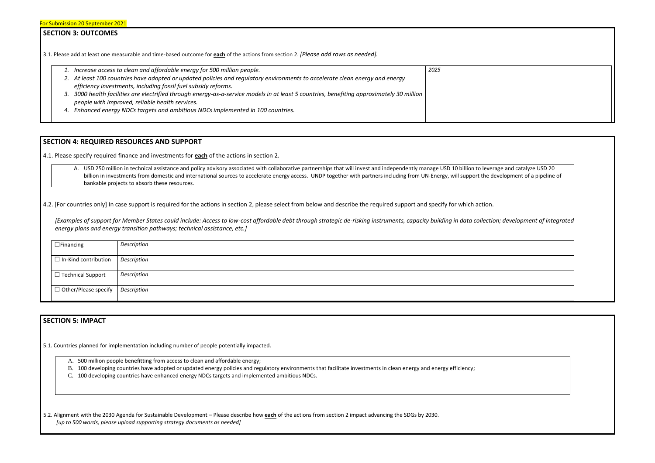### **SECTION 3: OUTCOMES**

3.1*.* Please add at least one measurable and time-based outcome for **each** of the actions from section 2. *[Please add rows as needed].*

|    | 1. Increase access to clean and affordable energy for 500 million people.                                                                 | 2025 |
|----|-------------------------------------------------------------------------------------------------------------------------------------------|------|
|    | 2. At least 100 countries have adopted or updated policies and regulatory environments to accelerate clean energy and energy              |      |
|    | efficiency investments, including fossil fuel subsidy reforms.                                                                            |      |
|    | 3. 3000 health facilities are electrified through energy-as-a-service models in at least 5 countries, benefiting approximately 30 million |      |
|    | people with improved, reliable health services.                                                                                           |      |
| 4. | Enhanced energy NDCs targets and ambitious NDCs implemented in 100 countries.                                                             |      |
|    |                                                                                                                                           |      |

A. USD 250 million in technical assistance and policy advisory associated with collaborative partnerships that will invest and independently manage USD 10 billion to leverage and catalyze USD 20 billion in investments from domestic and international sources to accelerate energy access. UNDP together with partners including from UN-Energy, will support the development of a pipeline of bankable projects to absorb these resources.

4.2. [For countries only] In case support is required for the actions in section 2, please select from below and describe the required support and specify for which action.

## **SECTION 4: REQUIRED RESOURCES AND SUPPORT**

4.1. Please specify required finance and investments for **each** of the actions in section 2.

*[Examples of support for Member States could include: Access to low-cost affordable debt through strategic de-risking instruments, capacity building in data collection; development of integrated energy plans and energy transition pathways; technical assistance, etc.]*

| $\Box$ Financing                               | Description |
|------------------------------------------------|-------------|
| $\Box$ In-Kind contribution                    | Description |
| $\Box$ Technical Support                       | Description |
| $\Box$ Other/Please specify $\Box$ Description |             |
|                                                |             |

## **SECTION 5: IMPACT**

5.1. Countries planned for implementation including number of people potentially impacted.

A. 500 million people benefitting from access to clean and affordable energy;

- B. 100 developing countries have adopted or updated energy policies and regulatory environments that facilitate investments in clean energy and energy efficiency;
- C. 100 developing countries have enhanced energy NDCs targets and implemented ambitious NDCs.

5.2. Alignment with the 2030 Agenda for Sustainable Development – Please describe how **each** of the actions from section 2 impact advancing the SDGs by 2030. *[up to 500 words, please upload supporting strategy documents as needed]* 



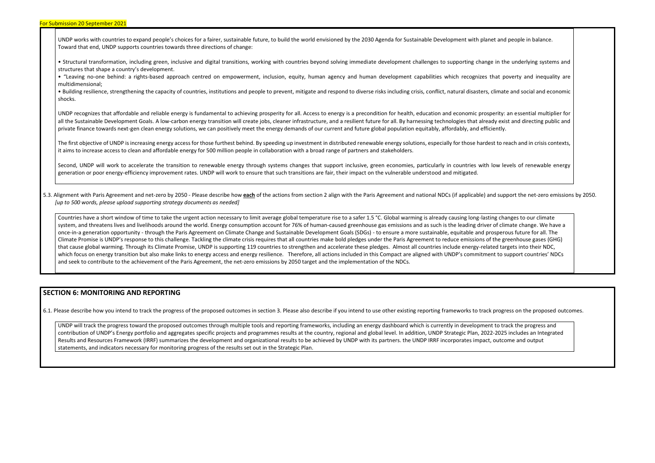UNDP works with countries to expand people's choices for a fairer, sustainable future, to build the world envisioned by the 2030 Agenda for Sustainable Development with planet and people in balance. Toward that end, UNDP supports countries towards three directions of change:

• Structural transformation, including green, inclusive and digital transitions, working with countries beyond solving immediate development challenges to supporting change in the underlying systems and structures that shape a country's development.

• "Leaving no-one behind: a rights-based approach centred on empowerment, inclusion, equity, human agency and human development capabilities which recognizes that poverty and inequality are multidimensional;

• Building resilience, strengthening the capacity of countries, institutions and people to prevent, mitigate and respond to diverse risks including crisis, conflict, natural disasters, climate and social and economic shocks.

The first objective of UNDP is increasing energy access for those furthest behind. By speeding up investment in distributed renewable energy solutions, especially for those hardest to reach and in crisis contexts, it aims to increase access to clean and affordable energy for 500 million people in collaboration with a broad range of partners and stakeholders.

Second, UNDP will work to accelerate the transition to renewable energy through systems changes that support inclusive, green economies, particularly in countries with low levels of renewable energy generation or poor energy-efficiency improvement rates. UNDP will work to ensure that such transitions are fair, their impact on the vulnerable understood and mitigated.

UNDP recognizes that affordable and reliable energy is fundamental to achieving prosperity for all. Access to energy is a precondition for health, education and economic prosperity: an essential multiplier for all the Sustainable Development Goals. A low-carbon energy transition will create jobs, cleaner infrastructure, and a resilient future for all. By harnessing technologies that already exist and directing public and private finance towards next-gen clean energy solutions, we can positively meet the energy demands of our current and future global population equitably, affordably, and efficiently.

5.3. Alignment with Paris Agreement and net-zero by 2050 - Please describe how each of the actions from section 2 align with the Paris Agreement and national NDCs (if applicable) and support the net-zero emissions by 2050. *[up to 500 words, please upload supporting strategy documents as needed]* 

Countries have a short window of time to take the urgent action necessary to limit average global temperature rise to a safer 1.5 °C. Global warming is already causing long-lasting changes to our climate system, and threatens lives and livelihoods around the world. Energy consumption account for 76% of human-caused greenhouse gas emissions and as such is the leading driver of climate change. We have a once-in-a generation opportunity - through the Paris Agreement on Climate Change and Sustainable Development Goals (SDGs) - to ensure a more sustainable, equitable and prosperous future for all. The Climate Promise is UNDP's response to this challenge. Tackling the climate crisis requires that all countries make bold pledges under the Paris Agreement to reduce emissions of the greenhouse gases (GHG) that cause global warming. Through its Climate Promise, UNDP is supporting 119 countries to strengthen and accelerate these pledges. Almost all countries include energy-related targets into their NDC, which focus on energy transition but also make links to energy access and energy resilience. Therefore, all actions included in this Compact are aligned with UNDP's commitment to support countries' NDCs and seek to contribute to the achievement of the Paris Agreement, the net-zero emissions by 2050 target and the implementation of the NDCs.

#### **SECTION 6: MONITORING AND REPORTING**

6.1. Please describe how you intend to track the progress of the proposed outcomes in section 3. Please also describe if you intend to use other existing reporting frameworks to track progress on the proposed outcomes.

UNDP will track the progress toward the proposed outcomes through multiple tools and reporting frameworks, including an energy dashboard which is currently in development to track the progress and contribution of UNDP's Energy portfolio and aggregates specific projects and programmes results at the country, regional and global level. In addition, UNDP Strategic Plan, 2022-2025 includes an Integrated Results and Resources Framework (IRRF) summarizes the development and organizational results to be achieved by UNDP with its partners, the UNDP IRRF incorporates impact, outcome and output statements, and indicators necessary for monitoring progress of the results set out in the Strategic Plan.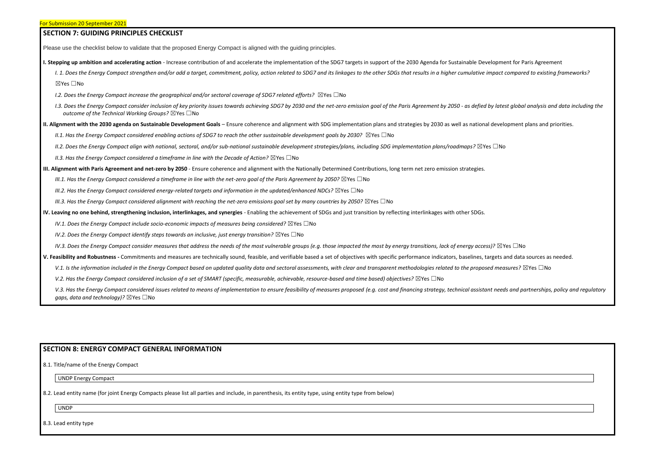| <b>SECTION 7: GUIDING PRINCIPLES CHECKLIST</b>                                                                                                                                                                                                                                                       |
|------------------------------------------------------------------------------------------------------------------------------------------------------------------------------------------------------------------------------------------------------------------------------------------------------|
| Please use the checklist below to validate that the proposed Energy Compact is aligned with the guiding principles.                                                                                                                                                                                  |
| I. Stepping up ambition and accelerating action - Increase contribution of and accelerate the implementation of the SDG7 targets in support of the 2030 Agenda for Sustainable Development for Paris Agreement                                                                                       |
| I. 1. Does the Energy Compact strengthen and/or add a target, commitment, policy, action related to SDG7 and its linkages to the other SDGs that results in a higher cumulative impact compared to existing frameworks?                                                                              |
| $\boxtimes$ Yes $\Box$ No                                                                                                                                                                                                                                                                            |
| 1.2. Does the Energy Compact increase the geographical and/or sectoral coverage of SDG7 related efforts? $\boxtimes$ Yes $\Box$ No                                                                                                                                                                   |
| I.3. Does the Energy Compact consider inclusion of key priority issues towards achieving SDG7 by 2030 and the net-zero emission goal of the Paris Agreement by 2050 - as defied by latest global analysis and data including t<br>outcome of the Technical Working Groups? $\boxtimes$ Yes $\Box$ No |
| II. Alignment with the 2030 agenda on Sustainable Development Goals - Ensure coherence and alignment with SDG implementation plans and strategies by 2030 as well as national development plans and priorities.                                                                                      |
| II.1. Has the Energy Compact considered enabling actions of SDG7 to reach the other sustainable development goals by 2030? $\boxtimes$ Yes $\Box$ No                                                                                                                                                 |
| II.2. Does the Energy Compact align with national, sectoral, and/or sub-national sustainable development strategies/plans, including SDG implementation plans/roadmaps? $\boxtimes$ Yes $\Box$ No                                                                                                    |
| II.3. Has the Energy Compact considered a timeframe in line with the Decade of Action? $\boxtimes$ Yes $\Box$ No                                                                                                                                                                                     |
| III. Alignment with Paris Agreement and net-zero by 2050 - Ensure coherence and alignment with the Nationally Determined Contributions, long term net zero emission strategies.                                                                                                                      |
| III.1. Has the Energy Compact considered a timeframe in line with the net-zero goal of the Paris Agreement by 2050? $\boxtimes$ Yes $\Box$ No                                                                                                                                                        |
| III.2. Has the Energy Compact considered energy-related targets and information in the updated/enhanced NDCs? $\boxtimes$ Yes $\Box$ No                                                                                                                                                              |
| III.3. Has the Energy Compact considered alignment with reaching the net-zero emissions goal set by many countries by 2050? $\boxtimes$ Yes $\Box$ No                                                                                                                                                |
| IV. Leaving no one behind, strengthening inclusion, interlinkages, and synergies - Enabling the achievement of SDGs and just transition by reflecting interlinkages with other SDGs.                                                                                                                 |
| IV.1. Does the Energy Compact include socio-economic impacts of measures being considered? $\boxtimes$ Yes $\Box$ No                                                                                                                                                                                 |
| IV.2. Does the Energy Compact identify steps towards an inclusive, just energy transition? $\boxtimes$ Yes $\Box$ No                                                                                                                                                                                 |
| IV.3. Does the Energy Compact consider measures that address the needs of the most vulnerable groups (e.g. those impacted the most by energy transitions, lack of energy access)? $\boxtimes$ Yes $\Box$ No                                                                                          |
| V. Feasibility and Robustness - Commitments and measures are technically sound, feasible, and verifiable based a set of objectives with specific performance indicators, baselines, targets and data sources as needed.                                                                              |
| V.1. Is the information included in the Energy Compact based on updated quality data and sectoral assessments, with clear and transparent methodologies related to the proposed measures? $\boxtimes$ Yes $\Box$ No                                                                                  |
| V.2. Has the Energy Compact considered inclusion of a set of SMART (specific, measurable, achievable, resource-based and time based) objectives? $\boxtimes$ Yes $\Box$ No                                                                                                                           |
| V.3. Has the Energy Compact considered issues related to means of implementation to ensure feasibility of measures proposed (e.g. cost and financing strategy, technical assistant needs and partnerships, policy and regulato                                                                       |

# **SECTION 8: ENERGY COMPACT GENERAL INFORMATION**

8.1. Title/name of the Energy Compact

*gaps, data and technology)?* ⊠Yes □No

UNDP Energy Compact

8.2. Lead entity name (for joint Energy Compacts please list all parties and include, in parenthesis, its entity type, using entity type from below)

UNDP

8.3. Lead entity type